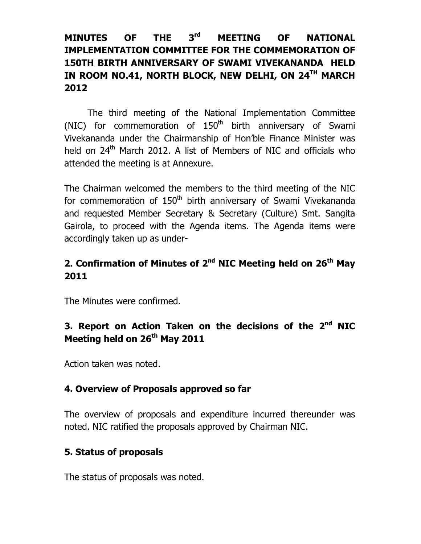## MINUTES OF THE 3<sup>rd</sup> MEETING OF NATIONAL IMPLEMENTATION COMMITTEE FOR THE COMMEMORATION OF 150TH BIRTH ANNIVERSARY OF SWAMI VIVEKANANDA HELD IN ROOM NO.41, NORTH BLOCK, NEW DELHI, ON 24<sup>TH</sup> MARCH 2012

The third meeting of the National Implementation Committee (NIC) for commemoration of  $150<sup>th</sup>$  birth anniversary of Swami Vivekananda under the Chairmanship of Hon'ble Finance Minister was held on 24<sup>th</sup> March 2012. A list of Members of NIC and officials who attended the meeting is at Annexure.

The Chairman welcomed the members to the third meeting of the NIC for commemoration of 150<sup>th</sup> birth anniversary of Swami Vivekananda and requested Member Secretary & Secretary (Culture) Smt. Sangita Gairola, to proceed with the Agenda items. The Agenda items were accordingly taken up as under-

## 2. Confirmation of Minutes of  $2<sup>nd</sup>$  NIC Meeting held on  $26<sup>th</sup>$  May 2011

The Minutes were confirmed.

# 3. Report on Action Taken on the decisions of the 2<sup>nd</sup> NIC Meeting held on 26<sup>th</sup> May 2011

Action taken was noted.

### 4. Overview of Proposals approved so far

The overview of proposals and expenditure incurred thereunder was noted. NIC ratified the proposals approved by Chairman NIC.

## 5. Status of proposals

The status of proposals was noted.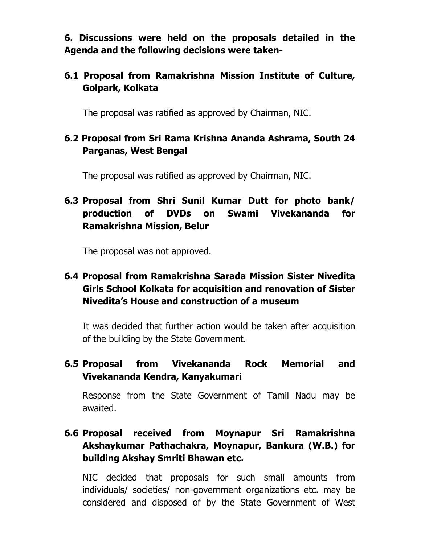6. Discussions were held on the proposals detailed in the Agenda and the following decisions were taken-

#### 6.1 Proposal from Ramakrishna Mission Institute of Culture, Golpark, Kolkata

The proposal was ratified as approved by Chairman, NIC.

### 6.2 Proposal from Sri Rama Krishna Ananda Ashrama, South 24 Parganas, West Bengal

The proposal was ratified as approved by Chairman, NIC.

## 6.3 Proposal from Shri Sunil Kumar Dutt for photo bank/ production of DVDs on Swami Vivekananda for Ramakrishna Mission, Belur

The proposal was not approved.

### 6.4 Proposal from Ramakrishna Sarada Mission Sister Nivedita Girls School Kolkata for acquisition and renovation of Sister Nivedita's House and construction of a museum

It was decided that further action would be taken after acquisition of the building by the State Government.

## 6.5 Proposal from Vivekananda Rock Memorial and Vivekananda Kendra, Kanyakumari

Response from the State Government of Tamil Nadu may be awaited.

## 6.6 Proposal received from Moynapur Sri Ramakrishna Akshaykumar Pathachakra, Moynapur, Bankura (W.B.) for building Akshay Smriti Bhawan etc.

NIC decided that proposals for such small amounts from individuals/ societies/ non-government organizations etc. may be considered and disposed of by the State Government of West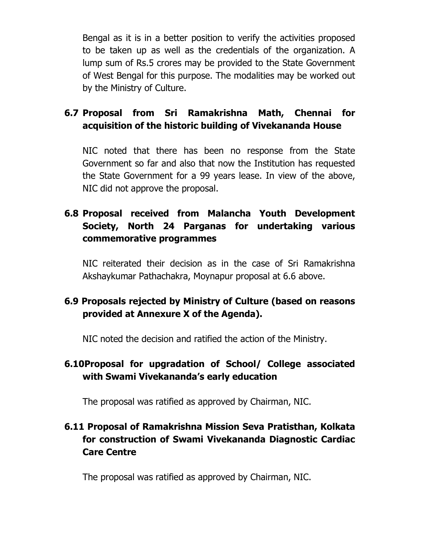Bengal as it is in a better position to verify the activities proposed to be taken up as well as the credentials of the organization. A lump sum of Rs.5 crores may be provided to the State Government of West Bengal for this purpose. The modalities may be worked out by the Ministry of Culture.

## 6.7 Proposal from Sri Ramakrishna Math, Chennai for acquisition of the historic building of Vivekananda House

NIC noted that there has been no response from the State Government so far and also that now the Institution has requested the State Government for a 99 years lease. In view of the above, NIC did not approve the proposal.

### 6.8 Proposal received from Malancha Youth Development Society, North 24 Parganas for undertaking various commemorative programmes

NIC reiterated their decision as in the case of Sri Ramakrishna Akshaykumar Pathachakra, Moynapur proposal at 6.6 above.

## 6.9 Proposals rejected by Ministry of Culture (based on reasons provided at Annexure X of the Agenda).

NIC noted the decision and ratified the action of the Ministry.

## 6.10Proposal for upgradation of School/ College associated with Swami Vivekananda's early education

The proposal was ratified as approved by Chairman, NIC.

## 6.11 Proposal of Ramakrishna Mission Seva Pratisthan, Kolkata for construction of Swami Vivekananda Diagnostic Cardiac Care Centre

The proposal was ratified as approved by Chairman, NIC.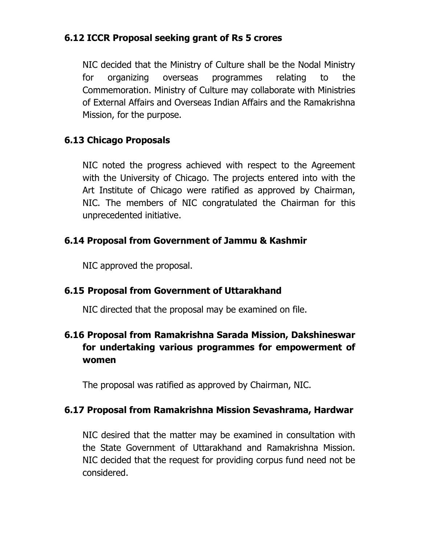#### 6.12 ICCR Proposal seeking grant of Rs 5 crores

NIC decided that the Ministry of Culture shall be the Nodal Ministry for organizing overseas programmes relating to the Commemoration. Ministry of Culture may collaborate with Ministries of External Affairs and Overseas Indian Affairs and the Ramakrishna Mission, for the purpose.

### 6.13 Chicago Proposals

 NIC noted the progress achieved with respect to the Agreement with the University of Chicago. The projects entered into with the Art Institute of Chicago were ratified as approved by Chairman, NIC. The members of NIC congratulated the Chairman for this unprecedented initiative.

### 6.14 Proposal from Government of Jammu & Kashmir

NIC approved the proposal.

#### 6.15 Proposal from Government of Uttarakhand

NIC directed that the proposal may be examined on file.

## 6.16 Proposal from Ramakrishna Sarada Mission, Dakshineswar for undertaking various programmes for empowerment of women

The proposal was ratified as approved by Chairman, NIC.

#### 6.17 Proposal from Ramakrishna Mission Sevashrama, Hardwar

NIC desired that the matter may be examined in consultation with the State Government of Uttarakhand and Ramakrishna Mission. NIC decided that the request for providing corpus fund need not be considered.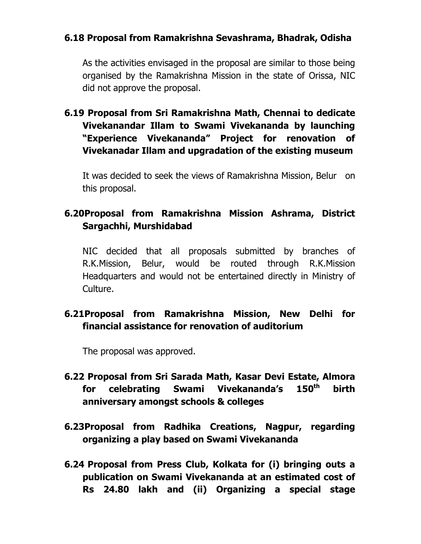#### 6.18 Proposal from Ramakrishna Sevashrama, Bhadrak, Odisha

As the activities envisaged in the proposal are similar to those being organised by the Ramakrishna Mission in the state of Orissa, NIC did not approve the proposal.

6.19 Proposal from Sri Ramakrishna Math, Chennai to dedicate Vivekanandar Illam to Swami Vivekananda by launching "Experience Vivekananda" Project for renovation of Vivekanadar Illam and upgradation of the existing museum

It was decided to seek the views of Ramakrishna Mission, Belur on this proposal.

### 6.20Proposal from Ramakrishna Mission Ashrama, District Sargachhi, Murshidabad

NIC decided that all proposals submitted by branches of R.K.Mission, Belur, would be routed through R.K.Mission Headquarters and would not be entertained directly in Ministry of Culture.

### 6.21Proposal from Ramakrishna Mission, New Delhi for financial assistance for renovation of auditorium

The proposal was approved.

- 6.22 Proposal from Sri Sarada Math, Kasar Devi Estate, Almora for celebrating Swami Vivekananda's 150<sup>th</sup> birth anniversary amongst schools & colleges
- 6.23Proposal from Radhika Creations, Nagpur, regarding organizing a play based on Swami Vivekananda
- 6.24 Proposal from Press Club, Kolkata for (i) bringing outs a publication on Swami Vivekananda at an estimated cost of Rs 24.80 lakh and (ii) Organizing a special stage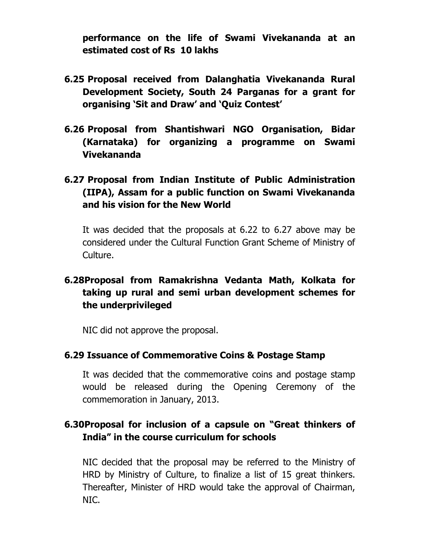performance on the life of Swami Vivekananda at an estimated cost of Rs 10 lakhs

- 6.25 Proposal received from Dalanghatia Vivekananda Rural Development Society, South 24 Parganas for a grant for organising 'Sit and Draw' and 'Quiz Contest'
- 6.26 Proposal from Shantishwari NGO Organisation, Bidar (Karnataka) for organizing a programme on Swami Vivekananda
- 6.27 Proposal from Indian Institute of Public Administration (IIPA), Assam for a public function on Swami Vivekananda and his vision for the New World

It was decided that the proposals at 6.22 to 6.27 above may be considered under the Cultural Function Grant Scheme of Ministry of Culture.

### 6.28Proposal from Ramakrishna Vedanta Math, Kolkata for taking up rural and semi urban development schemes for the underprivileged

NIC did not approve the proposal.

#### 6.29 Issuance of Commemorative Coins & Postage Stamp

It was decided that the commemorative coins and postage stamp would be released during the Opening Ceremony of the commemoration in January, 2013.

### 6.30Proposal for inclusion of a capsule on "Great thinkers of India" in the course curriculum for schools

NIC decided that the proposal may be referred to the Ministry of HRD by Ministry of Culture, to finalize a list of 15 great thinkers. Thereafter, Minister of HRD would take the approval of Chairman, NIC.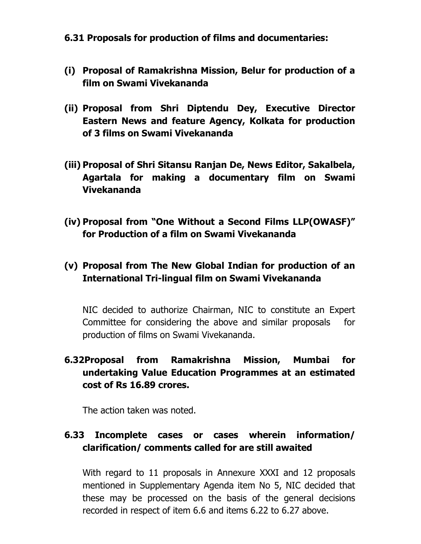#### 6.31 Proposals for production of films and documentaries:

- (i) Proposal of Ramakrishna Mission, Belur for production of a film on Swami Vivekananda
- (ii) Proposal from Shri Diptendu Dey, Executive Director Eastern News and feature Agency, Kolkata for production of 3 films on Swami Vivekananda
- (iii) Proposal of Shri Sitansu Ranjan De, News Editor, Sakalbela, Agartala for making a documentary film on Swami Vivekananda
- (iv) Proposal from "One Without a Second Films LLP(OWASF)" for Production of a film on Swami Vivekananda

### (v) Proposal from The New Global Indian for production of an International Tri-lingual film on Swami Vivekananda

NIC decided to authorize Chairman, NIC to constitute an Expert Committee for considering the above and similar proposals for production of films on Swami Vivekananda.

## 6.32Proposal from Ramakrishna Mission, Mumbai for undertaking Value Education Programmes at an estimated cost of Rs 16.89 crores.

The action taken was noted.

## 6.33 Incomplete cases or cases wherein information/ clarification/ comments called for are still awaited

With regard to 11 proposals in Annexure XXXI and 12 proposals mentioned in Supplementary Agenda item No 5, NIC decided that these may be processed on the basis of the general decisions recorded in respect of item 6.6 and items 6.22 to 6.27 above.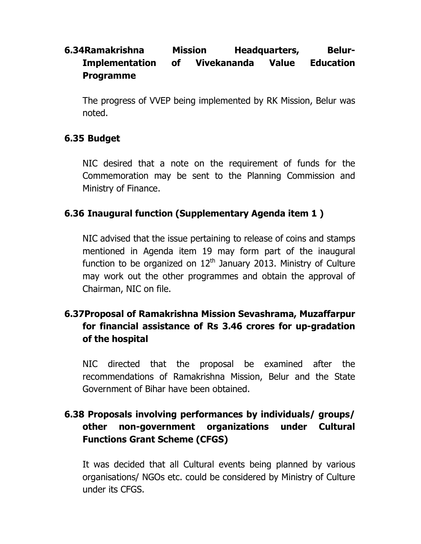## 6.34Ramakrishna Mission Headquarters, Belur-Implementation of Vivekananda Value Education Programme

The progress of VVEP being implemented by RK Mission, Belur was noted.

#### 6.35 Budget

NIC desired that a note on the requirement of funds for the Commemoration may be sent to the Planning Commission and Ministry of Finance.

#### 6.36 Inaugural function (Supplementary Agenda item 1 )

NIC advised that the issue pertaining to release of coins and stamps mentioned in Agenda item 19 may form part of the inaugural function to be organized on  $12<sup>th</sup>$  January 2013. Ministry of Culture may work out the other programmes and obtain the approval of Chairman, NIC on file.

## 6.37Proposal of Ramakrishna Mission Sevashrama, Muzaffarpur for financial assistance of Rs 3.46 crores for up-gradation of the hospital

NIC directed that the proposal be examined after the recommendations of Ramakrishna Mission, Belur and the State Government of Bihar have been obtained.

## 6.38 Proposals involving performances by individuals/ groups/ other non-government organizations under Cultural Functions Grant Scheme (CFGS)

It was decided that all Cultural events being planned by various organisations/ NGOs etc. could be considered by Ministry of Culture under its CFGS.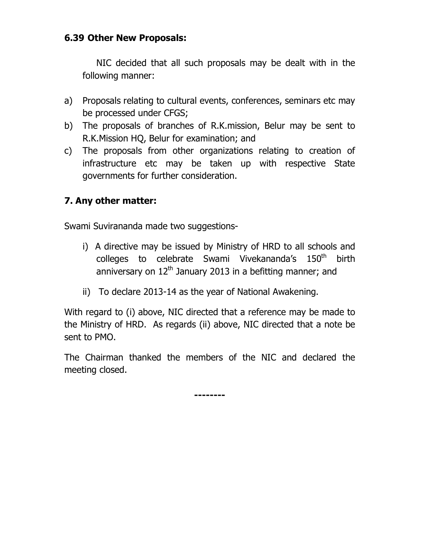#### 6.39 Other New Proposals:

NIC decided that all such proposals may be dealt with in the following manner:

- a) Proposals relating to cultural events, conferences, seminars etc may be processed under CFGS;
- b) The proposals of branches of R.K.mission, Belur may be sent to R.K.Mission HQ, Belur for examination; and
- c) The proposals from other organizations relating to creation of infrastructure etc may be taken up with respective State governments for further consideration.

## 7. Any other matter:

Swami Suvirananda made two suggestions-

- i) A directive may be issued by Ministry of HRD to all schools and colleges to celebrate Swami Vivekananda's 150<sup>th</sup> birth anniversary on  $12<sup>th</sup>$  January 2013 in a befitting manner; and
- ii) To declare 2013-14 as the year of National Awakening.

With regard to (i) above, NIC directed that a reference may be made to the Ministry of HRD. As regards (ii) above, NIC directed that a note be sent to PMO.

The Chairman thanked the members of the NIC and declared the meeting closed.

--------